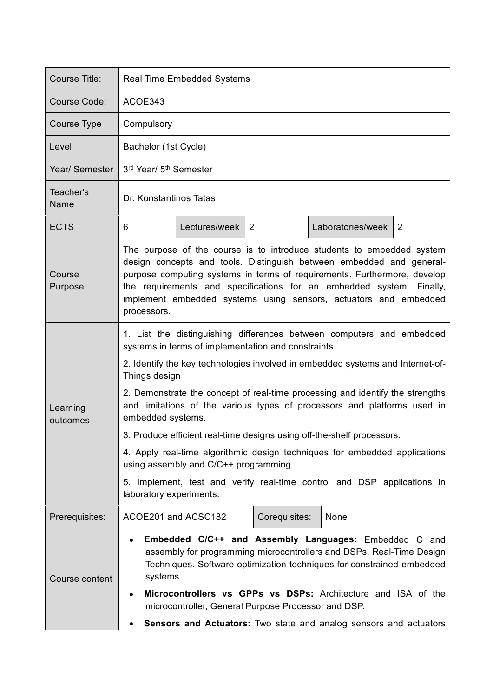| Course Title:        | <b>Real Time Embedded Systems</b>                                                                                                                                                                                                                                                                                                                                                                                                                                                                                                                                                                                                                                                                                        |
|----------------------|--------------------------------------------------------------------------------------------------------------------------------------------------------------------------------------------------------------------------------------------------------------------------------------------------------------------------------------------------------------------------------------------------------------------------------------------------------------------------------------------------------------------------------------------------------------------------------------------------------------------------------------------------------------------------------------------------------------------------|
| Course Code:         | ACOE343                                                                                                                                                                                                                                                                                                                                                                                                                                                                                                                                                                                                                                                                                                                  |
| Course Type          | Compulsory                                                                                                                                                                                                                                                                                                                                                                                                                                                                                                                                                                                                                                                                                                               |
| Level                | Bachelor (1st Cycle)                                                                                                                                                                                                                                                                                                                                                                                                                                                                                                                                                                                                                                                                                                     |
| Year/ Semester       | 3rd Year/ 5 <sup>th</sup> Semester                                                                                                                                                                                                                                                                                                                                                                                                                                                                                                                                                                                                                                                                                       |
| Teacher's<br>Name    | Dr. Konstantinos Tatas                                                                                                                                                                                                                                                                                                                                                                                                                                                                                                                                                                                                                                                                                                   |
| <b>ECTS</b>          | Lectures/week $ 2$<br>Laboratories/week<br>2<br>6                                                                                                                                                                                                                                                                                                                                                                                                                                                                                                                                                                                                                                                                        |
| Course<br>Purpose    | The purpose of the course is to introduce students to embedded system<br>design concepts and tools. Distinguish between embedded and general-<br>purpose computing systems in terms of requirements. Furthermore, develop<br>the requirements and specifications for an embedded system. Finally,<br>implement embedded systems using sensors, actuators and embedded<br>processors.                                                                                                                                                                                                                                                                                                                                     |
| Learning<br>outcomes | 1. List the distinguishing differences between computers and embedded<br>systems in terms of implementation and constraints.<br>2. Identify the key technologies involved in embedded systems and Internet-of-<br>Things design<br>2. Demonstrate the concept of real-time processing and identify the strengths<br>and limitations of the various types of processors and platforms used in<br>embedded systems.<br>3. Produce efficient real-time designs using off-the-shelf processors.<br>4. Apply real-time algorithmic design techniques for embedded applications<br>using assembly and C/C++ programming.<br>5. Implement, test and verify real-time control and DSP applications in<br>laboratory experiments. |
| Prerequisites:       | ACOE201 and ACSC182<br>Corequisites:<br>None                                                                                                                                                                                                                                                                                                                                                                                                                                                                                                                                                                                                                                                                             |
| Course content       | Embedded C/C++ and Assembly Languages: Embedded C and<br>assembly for programming microcontrollers and DSPs. Real-Time Design<br>Techniques. Software optimization techniques for constrained embedded<br>systems<br>Microcontrollers vs GPPs vs DSPs: Architecture and ISA of the<br>microcontroller, General Purpose Processor and DSP.<br>Sensors and Actuators: Two state and analog sensors and actuators                                                                                                                                                                                                                                                                                                           |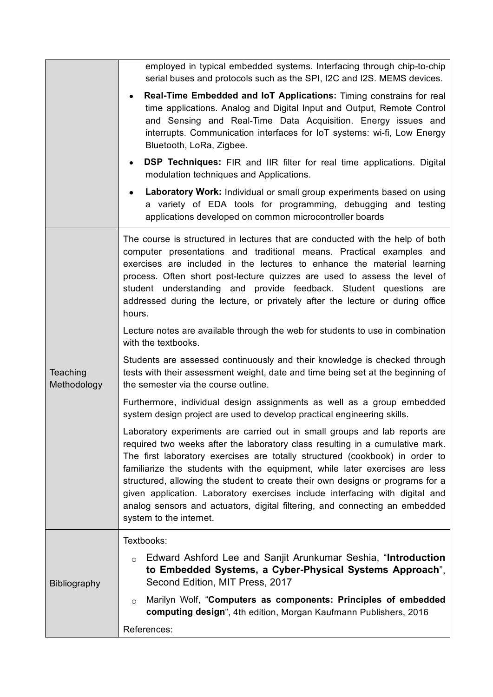|                         | employed in typical embedded systems. Interfacing through chip-to-chip<br>serial buses and protocols such as the SPI, I2C and I2S. MEMS devices.                                                                                                                                                                                                                                                                                                                                                                                                                                                       |
|-------------------------|--------------------------------------------------------------------------------------------------------------------------------------------------------------------------------------------------------------------------------------------------------------------------------------------------------------------------------------------------------------------------------------------------------------------------------------------------------------------------------------------------------------------------------------------------------------------------------------------------------|
|                         | Real-Time Embedded and IoT Applications: Timing constrains for real<br>time applications. Analog and Digital Input and Output, Remote Control<br>and Sensing and Real-Time Data Acquisition. Energy issues and<br>interrupts. Communication interfaces for IoT systems: wi-fi, Low Energy<br>Bluetooth, LoRa, Zigbee.                                                                                                                                                                                                                                                                                  |
|                         | <b>DSP Techniques:</b> FIR and IIR filter for real time applications. Digital<br>modulation techniques and Applications.                                                                                                                                                                                                                                                                                                                                                                                                                                                                               |
|                         | Laboratory Work: Individual or small group experiments based on using<br>a variety of EDA tools for programming, debugging and testing<br>applications developed on common microcontroller boards                                                                                                                                                                                                                                                                                                                                                                                                      |
| Teaching<br>Methodology | The course is structured in lectures that are conducted with the help of both<br>computer presentations and traditional means. Practical examples and<br>exercises are included in the lectures to enhance the material learning<br>process. Often short post-lecture quizzes are used to assess the level of<br>student understanding and provide feedback. Student questions are<br>addressed during the lecture, or privately after the lecture or during office<br>hours.                                                                                                                          |
|                         | Lecture notes are available through the web for students to use in combination<br>with the textbooks.                                                                                                                                                                                                                                                                                                                                                                                                                                                                                                  |
|                         | Students are assessed continuously and their knowledge is checked through<br>tests with their assessment weight, date and time being set at the beginning of<br>the semester via the course outline.                                                                                                                                                                                                                                                                                                                                                                                                   |
|                         | Furthermore, individual design assignments as well as a group embedded<br>system design project are used to develop practical engineering skills.                                                                                                                                                                                                                                                                                                                                                                                                                                                      |
|                         | Laboratory experiments are carried out in small groups and lab reports are<br>required two weeks after the laboratory class resulting in a cumulative mark.<br>The first laboratory exercises are totally structured (cookbook) in order to<br>familiarize the students with the equipment, while later exercises are less<br>structured, allowing the student to create their own designs or programs for a<br>given application. Laboratory exercises include interfacing with digital and<br>analog sensors and actuators, digital filtering, and connecting an embedded<br>system to the internet. |
| <b>Bibliography</b>     | Textbooks:                                                                                                                                                                                                                                                                                                                                                                                                                                                                                                                                                                                             |
|                         | Edward Ashford Lee and Sanjit Arunkumar Seshia, "Introduction<br>$\circ$<br>to Embedded Systems, a Cyber-Physical Systems Approach",<br>Second Edition, MIT Press, 2017                                                                                                                                                                                                                                                                                                                                                                                                                                |
|                         | Marilyn Wolf, "Computers as components: Principles of embedded<br>$\circ$<br>computing design", 4th edition, Morgan Kaufmann Publishers, 2016                                                                                                                                                                                                                                                                                                                                                                                                                                                          |
|                         | References:                                                                                                                                                                                                                                                                                                                                                                                                                                                                                                                                                                                            |